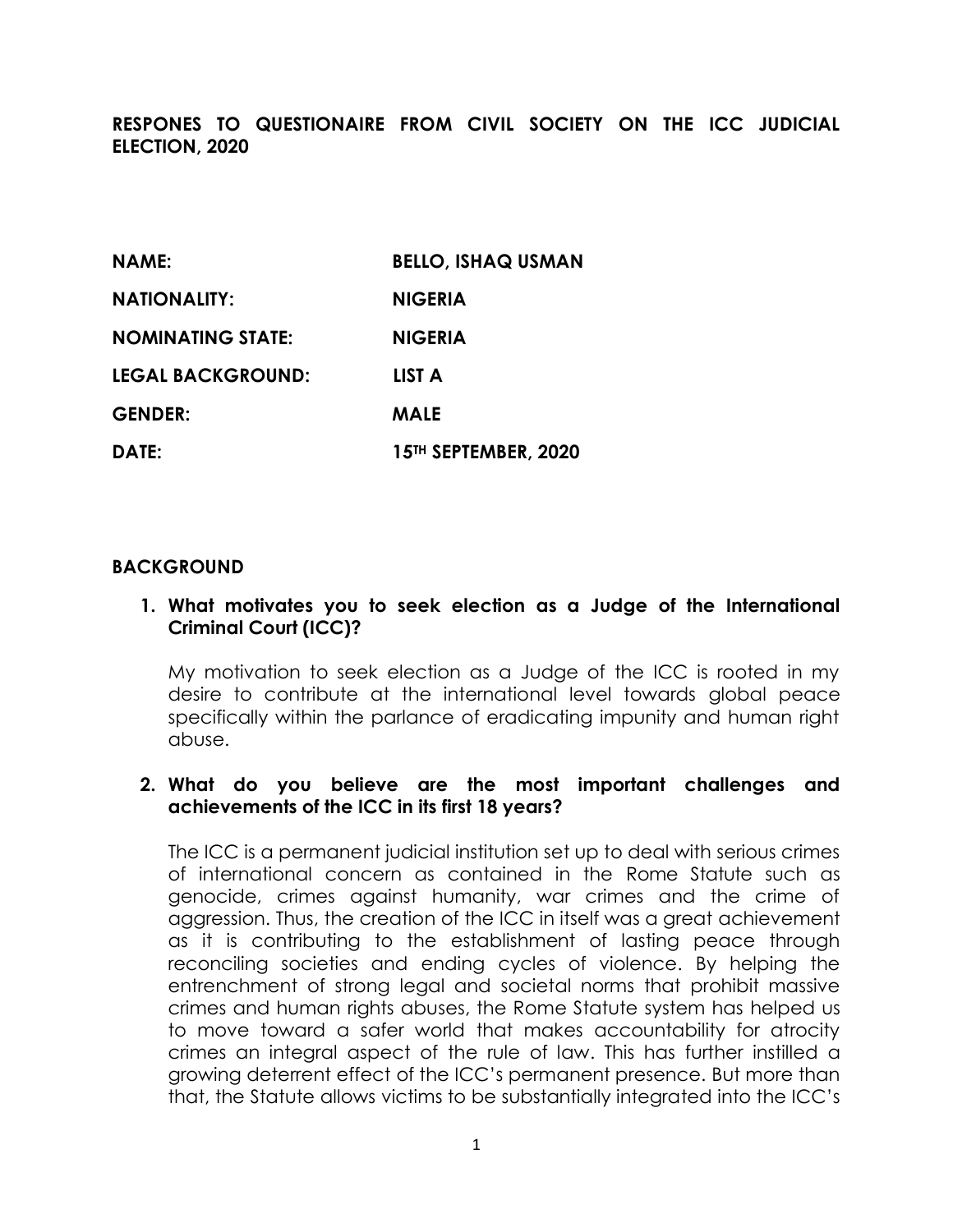**RESPONES TO QUESTIONAIRE FROM CIVIL SOCIETY ON THE ICC JUDICIAL ELECTION, 2020** 

| <b>NAME:</b>             | <b>BELLO, ISHAQ USMAN</b> |
|--------------------------|---------------------------|
| <b>NATIONALITY:</b>      | <b>NIGERIA</b>            |
| <b>NOMINATING STATE:</b> | <b>NIGERIA</b>            |
| <b>LEGAL BACKGROUND:</b> | <b>LIST A</b>             |
| <b>GENDER:</b>           | <b>MALE</b>               |
| DATE:                    | 15TH SEPTEMBER, 2020      |

#### **BACKGROUND**

### **1. What motivates you to seek election as a Judge of the International Criminal Court (ICC)?**

My motivation to seek election as a Judge of the ICC is rooted in my desire to contribute at the international level towards global peace specifically within the parlance of eradicating impunity and human right abuse.

### **2. What do you believe are the most important challenges and achievements of the ICC in its first 18 years?**

The ICC is a permanent judicial institution set up to deal with serious crimes of international concern as contained in the Rome Statute such as genocide, crimes against humanity, war crimes and the crime of aggression. Thus, the creation of the ICC in itself was a great achievement as it is contributing to the establishment of lasting peace through reconciling societies and ending cycles of violence. By helping the entrenchment of strong legal and societal norms that prohibit massive crimes and human rights abuses, the Rome Statute system has helped us to move toward a safer world that makes accountability for atrocity crimes an integral aspect of the rule of law. This has further instilled a growing deterrent effect of the ICC's permanent presence. But more than that, the Statute allows victims to be substantially integrated into the ICC's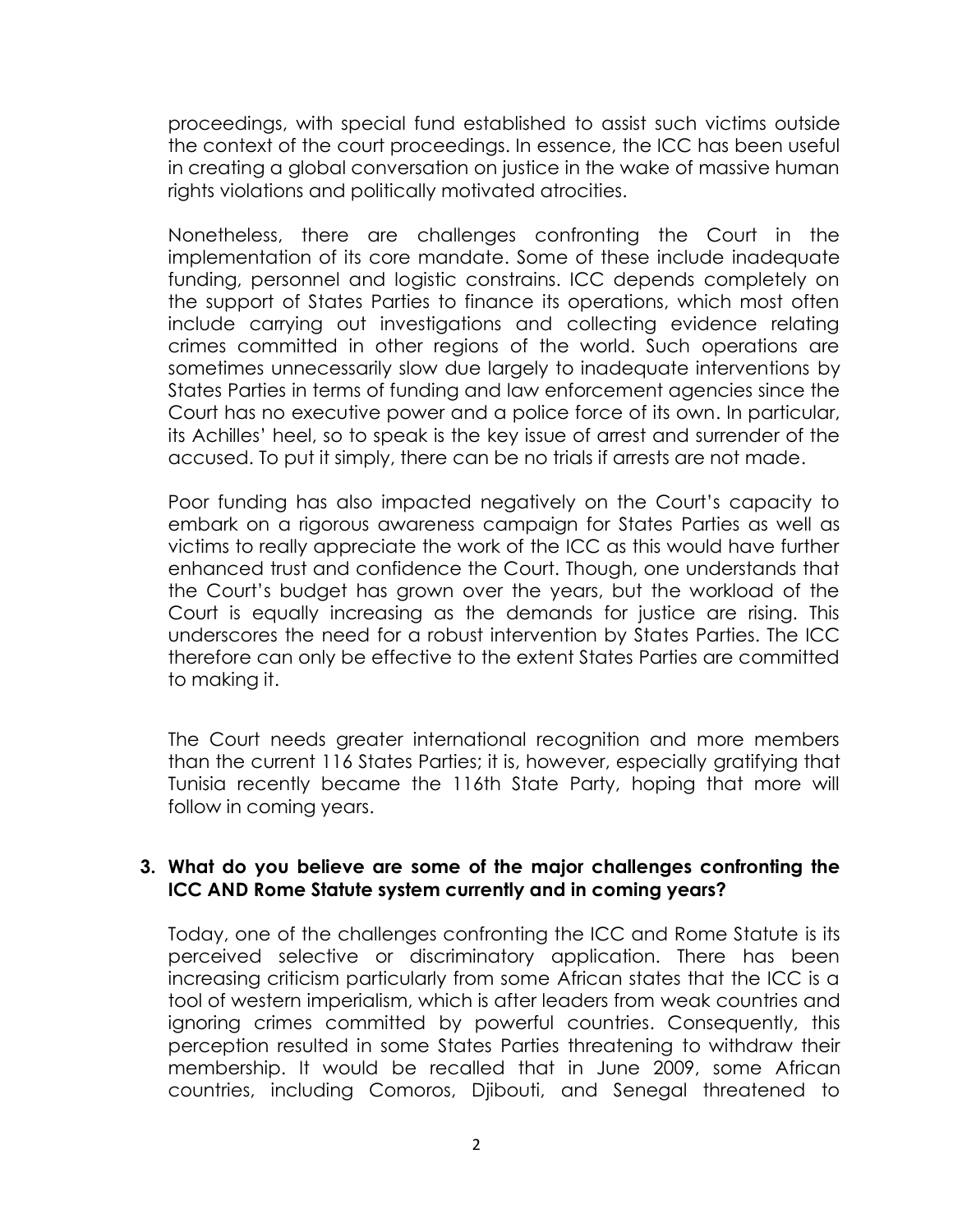proceedings, with special fund established to assist such victims outside the context of the court proceedings. In essence, the ICC has been useful in creating a global conversation on justice in the wake of massive human rights violations and politically motivated atrocities.

Nonetheless, there are challenges confronting the Court in the implementation of its core mandate. Some of these include inadequate funding, personnel and logistic constrains. ICC depends completely on the support of States Parties to finance its operations, which most often include carrying out investigations and collecting evidence relating crimes committed in other regions of the world. Such operations are sometimes unnecessarily slow due largely to inadequate interventions by States Parties in terms of funding and law enforcement agencies since the Court has no executive power and a police force of its own. In particular, its Achilles' heel, so to speak is the key issue of arrest and surrender of the accused. To put it simply, there can be no trials if arrests are not made.

Poor funding has also impacted negatively on the Court's capacity to embark on a rigorous awareness campaign for States Parties as well as victims to really appreciate the work of the ICC as this would have further enhanced trust and confidence the Court. Though, one understands that the Court's budget has grown over the years, but the workload of the Court is equally increasing as the demands for justice are rising. This underscores the need for a robust intervention by States Parties. The ICC therefore can only be effective to the extent States Parties are committed to making it.

The Court needs greater international recognition and more members than the current 116 States Parties; it is, however, especially gratifying that Tunisia recently became the 116th State Party, hoping that more will follow in coming years.

#### **3. What do you believe are some of the major challenges confronting the ICC AND Rome Statute system currently and in coming years?**

Today, one of the challenges confronting the ICC and Rome Statute is its perceived selective or discriminatory application. There has been increasing criticism particularly from some African states that the ICC is a tool of western imperialism, which is after leaders from weak countries and ignoring crimes committed by powerful countries. Consequently, this perception resulted in some States Parties threatening to withdraw their membership. It would be recalled that in June 2009, some African countries, including Comoros, Djibouti, and Senegal threatened to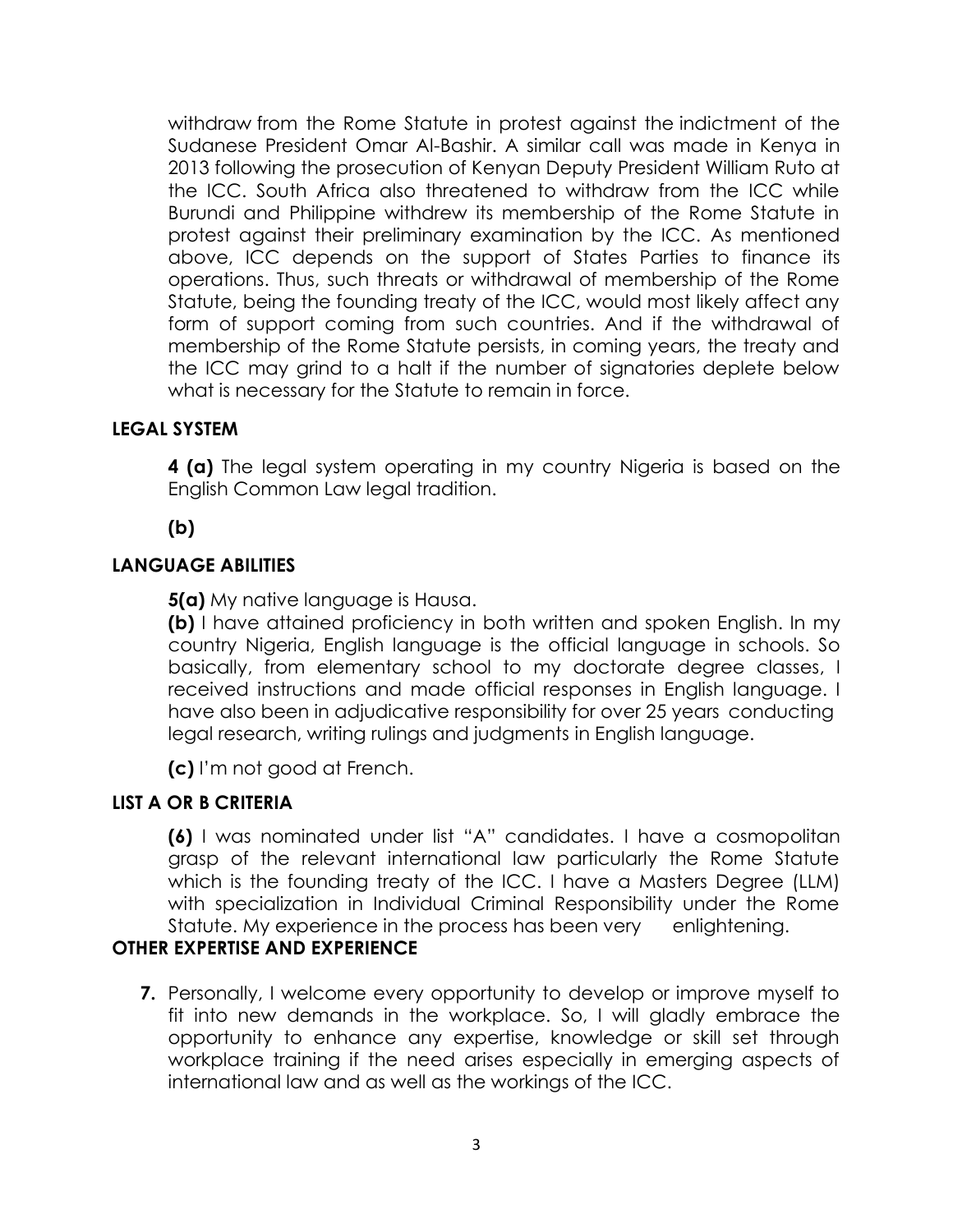withdraw from the Rome Statute in protest against the indictment of the Sudanese President Omar Al-Bashir. A similar call was made in Kenya in 2013 following the prosecution of Kenyan Deputy President William Ruto at the ICC. South Africa also threatened to withdraw from the ICC while Burundi and Philippine withdrew its membership of the Rome Statute in protest against their preliminary examination by the ICC. As mentioned above, ICC depends on the support of States Parties to finance its operations. Thus, such threats or withdrawal of membership of the Rome Statute, being the founding treaty of the ICC, would most likely affect any form of support coming from such countries. And if the withdrawal of membership of the Rome Statute persists, in coming years, the treaty and the ICC may grind to a halt if the number of signatories deplete below what is necessary for the Statute to remain in force.

## **LEGAL SYSTEM**

**4 (a)** The legal system operating in my country Nigeria is based on the English Common Law legal tradition.

**(b)**

## **LANGUAGE ABILITIES**

**5(a)** My native language is Hausa.

**(b)** I have attained proficiency in both written and spoken English. In my country Nigeria, English language is the official language in schools. So basically, from elementary school to my doctorate degree classes, I received instructions and made official responses in English language. I have also been in adjudicative responsibility for over 25 years conducting legal research, writing rulings and judgments in English language.

**(c)** I'm not good at French.

## **LIST A OR B CRITERIA**

**(6)** I was nominated under list "A" candidates. I have a cosmopolitan grasp of the relevant international law particularly the Rome Statute which is the founding treaty of the ICC. I have a Masters Degree (LLM) with specialization in Individual Criminal Responsibility under the Rome Statute. My experience in the process has been very enlightening.

## **OTHER EXPERTISE AND EXPERIENCE**

**7.** Personally, I welcome every opportunity to develop or improve myself to fit into new demands in the workplace. So, I will gladly embrace the opportunity to enhance any expertise, knowledge or skill set through workplace training if the need arises especially in emerging aspects of international law and as well as the workings of the ICC.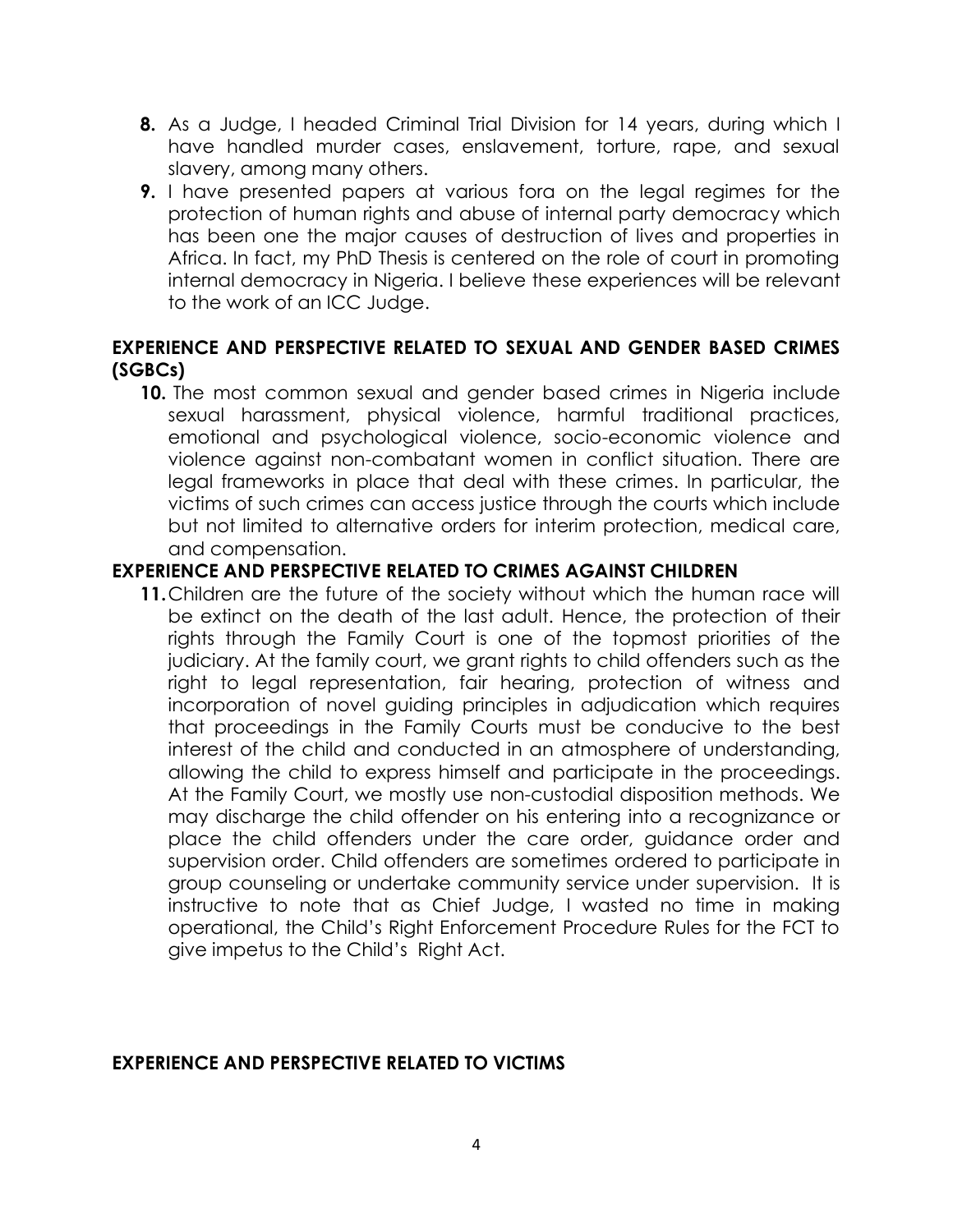- **8.** As a Judge, I headed Criminal Trial Division for 14 years, during which I have handled murder cases, enslavement, torture, rape, and sexual slavery, among many others.
- **9.** I have presented papers at various fora on the legal regimes for the protection of human rights and abuse of internal party democracy which has been one the major causes of destruction of lives and properties in Africa. In fact, my PhD Thesis is centered on the role of court in promoting internal democracy in Nigeria. I believe these experiences will be relevant to the work of an ICC Judge.

## **EXPERIENCE AND PERSPECTIVE RELATED TO SEXUAL AND GENDER BASED CRIMES (SGBCs)**

**10.** The most common sexual and gender based crimes in Nigeria include sexual harassment, physical violence, harmful traditional practices, emotional and psychological violence, socio-economic violence and violence against non-combatant women in conflict situation. There are legal frameworks in place that deal with these crimes. In particular, the victims of such crimes can access justice through the courts which include but not limited to alternative orders for interim protection, medical care, and compensation.

## **EXPERIENCE AND PERSPECTIVE RELATED TO CRIMES AGAINST CHILDREN**

**11.**Children are the future of the society without which the human race will be extinct on the death of the last adult. Hence, the protection of their rights through the Family Court is one of the topmost priorities of the judiciary. At the family court, we grant rights to child offenders such as the right to legal representation, fair hearing, protection of witness and incorporation of novel guiding principles in adjudication which requires that proceedings in the Family Courts must be conducive to the best interest of the child and conducted in an atmosphere of understanding, allowing the child to express himself and participate in the proceedings. At the Family Court, we mostly use non-custodial disposition methods. We may discharge the child offender on his entering into a recognizance or place the child offenders under the care order, guidance order and supervision order. Child offenders are sometimes ordered to participate in group counseling or undertake community service under supervision. It is instructive to note that as Chief Judge, I wasted no time in making operational, the Child's Right Enforcement Procedure Rules for the FCT to give impetus to the Child's Right Act.

#### **EXPERIENCE AND PERSPECTIVE RELATED TO VICTIMS**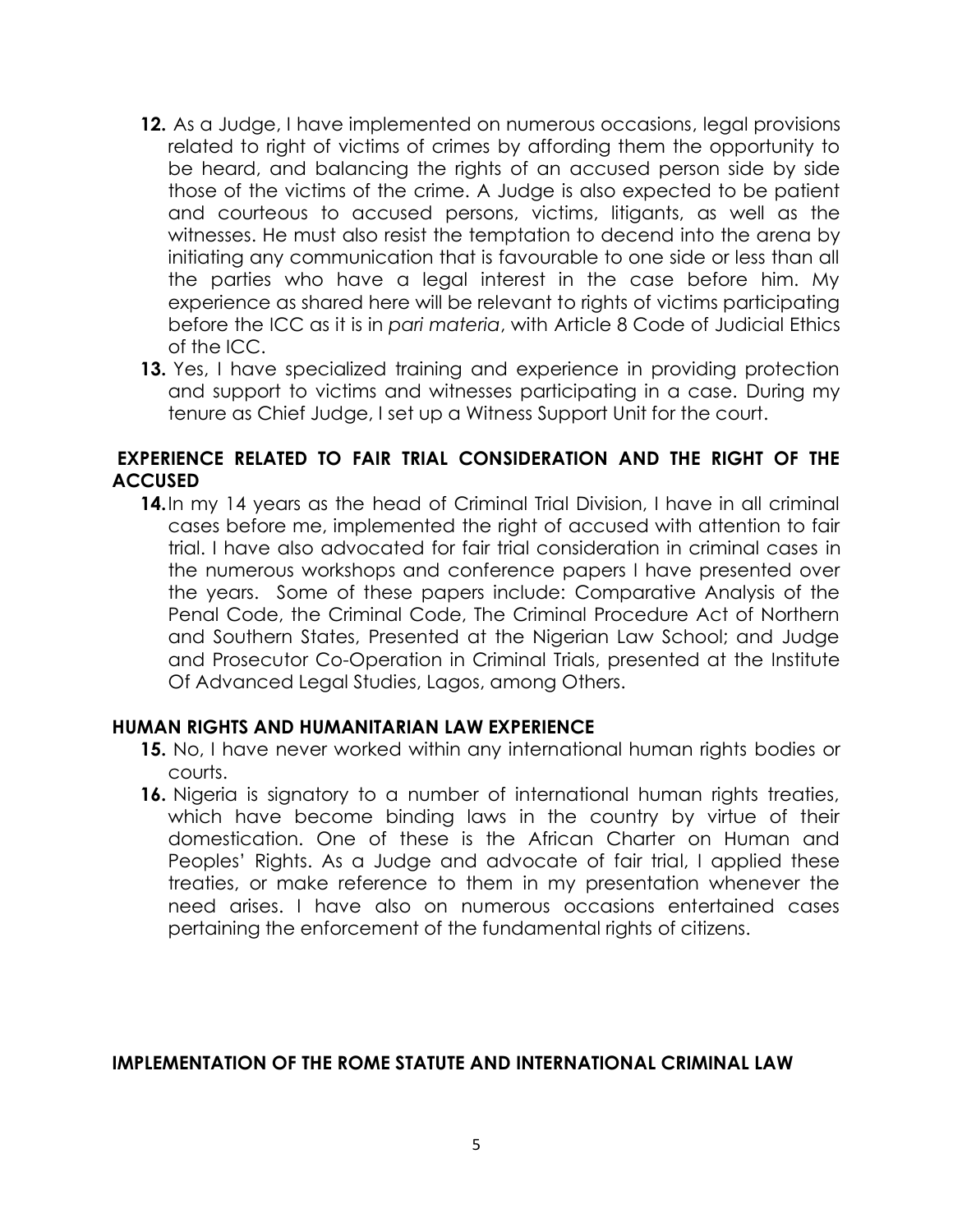- **12.** As a Judge, I have implemented on numerous occasions, legal provisions related to right of victims of crimes by affording them the opportunity to be heard, and balancing the rights of an accused person side by side those of the victims of the crime. A Judge is also expected to be patient and courteous to accused persons, victims, litigants, as well as the witnesses. He must also resist the temptation to decend into the arena by initiating any communication that is favourable to one side or less than all the parties who have a legal interest in the case before him. My experience as shared here will be relevant to rights of victims participating before the ICC as it is in *pari materia*, with Article 8 Code of Judicial Ethics of the ICC.
- **13.** Yes, I have specialized training and experience in providing protection and support to victims and witnesses participating in a case. During my tenure as Chief Judge, I set up a Witness Support Unit for the court.

### **EXPERIENCE RELATED TO FAIR TRIAL CONSIDERATION AND THE RIGHT OF THE ACCUSED**

**14.** In my 14 years as the head of Criminal Trial Division, I have in all criminal cases before me, implemented the right of accused with attention to fair trial. I have also advocated for fair trial consideration in criminal cases in the numerous workshops and conference papers I have presented over the years. Some of these papers include: Comparative Analysis of the Penal Code, the Criminal Code, The Criminal Procedure Act of Northern and Southern States, Presented at the Nigerian Law School; and Judge and Prosecutor Co-Operation in Criminal Trials, presented at the Institute Of Advanced Legal Studies, Lagos, among Others.

#### **HUMAN RIGHTS AND HUMANITARIAN LAW EXPERIENCE**

- **15.** No, I have never worked within any international human rights bodies or courts.
- **16.** Nigeria is signatory to a number of international human rights treaties, which have become binding laws in the country by virtue of their domestication. One of these is the African Charter on Human and Peoples' Rights. As a Judge and advocate of fair trial, I applied these treaties, or make reference to them in my presentation whenever the need arises. I have also on numerous occasions entertained cases pertaining the enforcement of the fundamental rights of citizens.

### **IMPLEMENTATION OF THE ROME STATUTE AND INTERNATIONAL CRIMINAL LAW**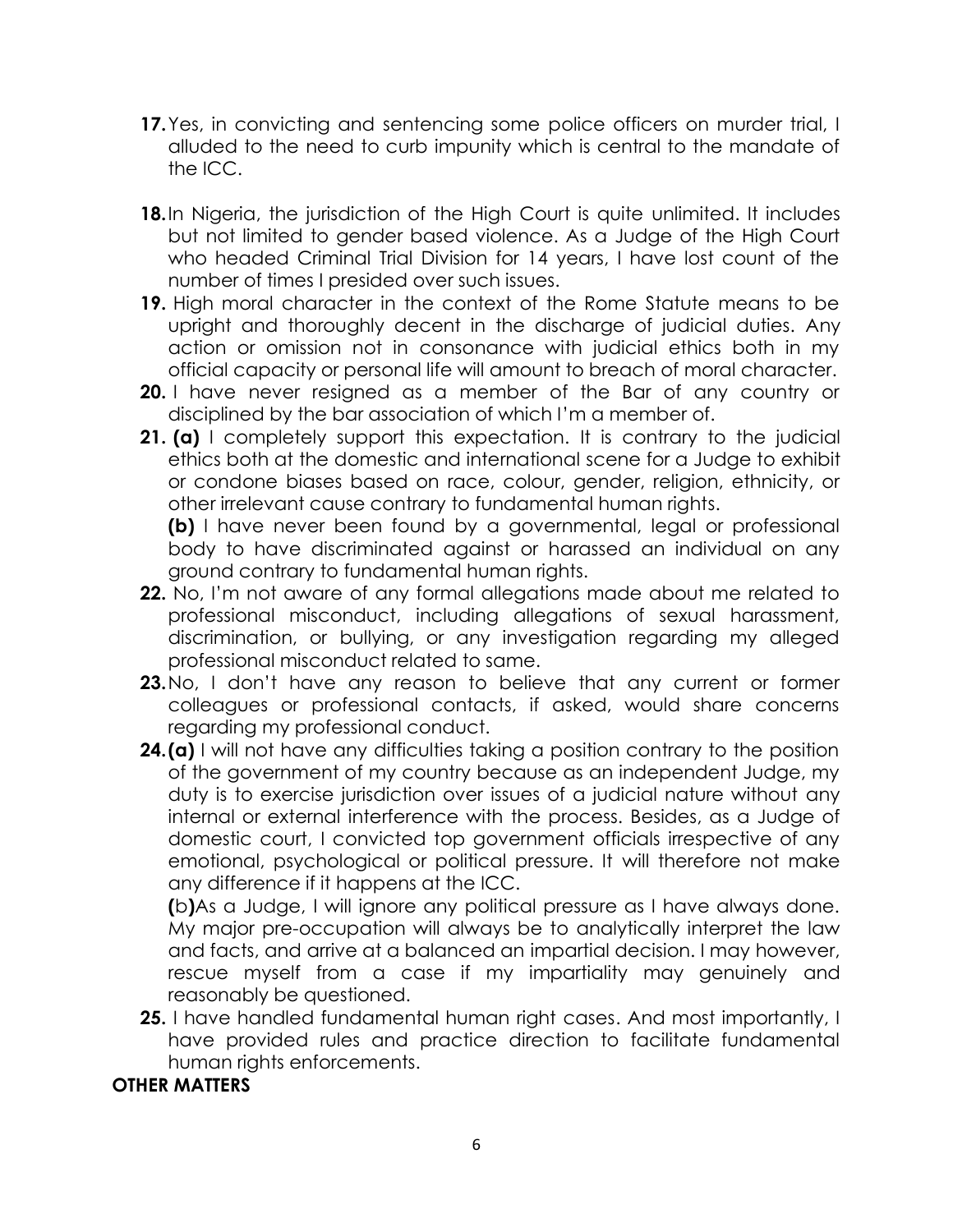- **17.**Yes, in convicting and sentencing some police officers on murder trial, I alluded to the need to curb impunity which is central to the mandate of the ICC.
- **18.**In Nigeria, the jurisdiction of the High Court is quite unlimited. It includes but not limited to gender based violence. As a Judge of the High Court who headed Criminal Trial Division for 14 years, I have lost count of the number of times I presided over such issues.
- **19.** High moral character in the context of the Rome Statute means to be upright and thoroughly decent in the discharge of judicial duties. Any action or omission not in consonance with judicial ethics both in my official capacity or personal life will amount to breach of moral character.
- **20.** I have never resigned as a member of the Bar of any country or disciplined by the bar association of which I'm a member of.
- **21. (a)** I completely support this expectation. It is contrary to the judicial ethics both at the domestic and international scene for a Judge to exhibit or condone biases based on race, colour, gender, religion, ethnicity, or other irrelevant cause contrary to fundamental human rights.

**(b)** I have never been found by a governmental, legal or professional body to have discriminated against or harassed an individual on any ground contrary to fundamental human rights.

- **22.** No, I'm not aware of any formal allegations made about me related to professional misconduct, including allegations of sexual harassment, discrimination, or bullying, or any investigation regarding my alleged professional misconduct related to same.
- **23.**No, I don't have any reason to believe that any current or former colleagues or professional contacts, if asked, would share concerns regarding my professional conduct.
- **24.(a)** I will not have any difficulties taking a position contrary to the position of the government of my country because as an independent Judge, my duty is to exercise jurisdiction over issues of a judicial nature without any internal or external interference with the process. Besides, as a Judge of domestic court, I convicted top government officials irrespective of any emotional, psychological or political pressure. It will therefore not make any difference if it happens at the ICC.

**(**b**)**As a Judge, I will ignore any political pressure as I have always done. My major pre-occupation will always be to analytically interpret the law and facts, and arrive at a balanced an impartial decision. I may however, rescue myself from a case if my impartiality may genuinely and reasonably be questioned.

**25.** I have handled fundamental human right cases. And most importantly, I have provided rules and practice direction to facilitate fundamental human rights enforcements.

# **OTHER MATTERS**